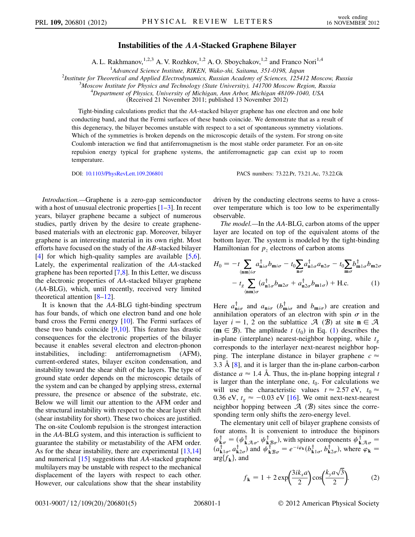## Instabilities of the AA-Stacked Graphene Bilayer

A. L. Rakhmanov,  $^{1,2,3}$  A. V. Rozhkov,  $^{1,2}$  A. O. Sboychakov,  $^{1,2}$  and Franco Nori<sup>1,4</sup>

<sup>1</sup>Advanced Science Institute, RIKEN, Wako-shi, Saitama, 351-0198, Japan <sup>1</sup> Advanced Science Institute, RIKEN, Wako-shi, Saitama, 351-0198, Japan<br><sup>2</sup> Institute for Theoretical and Applied Electrodynamics, Pussian Academy of Sciences, 1954

Institute for Theoretical and Applied Electrodynamics, Russian Academy of Sciences, 125412 Moscow, Russia <sup>3</sup>

 $^3$ Moscow Institute for Physics and Technology (State University), 141700 Moscow Region, Russia

<sup>4</sup>Department of Physics, University of Michigan, Ann Arbor, Michigan 48109-1040, USA

(Received 21 November 2011; published 13 November 2012)

Tight-binding calculations predict that the AA-stacked bilayer graphene has one electron and one hole conducting band, and that the Fermi surfaces of these bands coincide. We demonstrate that as a result of this degeneracy, the bilayer becomes unstable with respect to a set of spontaneous symmetry violations. Which of the symmetries is broken depends on the microscopic details of the system. For strong on-site Coulomb interaction we find that antiferromagnetism is the most stable order parameter. For an on-site repulsion energy typical for graphene systems, the antiferromagnetic gap can exist up to room temperature.

DOI: [10.1103/PhysRevLett.109.206801](http://dx.doi.org/10.1103/PhysRevLett.109.206801) PACS numbers: 73.22.Pr, 73.21.Ac, 73.22.Gk

Introduction.—Graphene is a zero-gap semiconductor with a host of unusual electronic properties  $[1-3]$  $[1-3]$  $[1-3]$ . In recent years, bilayer graphene became a subject of numerous studies, partly driven by the desire to create graphenebased materials with an electronic gap. Moreover, bilayer graphene is an interesting material in its own right. Most efforts have focused on the study of the AB-stacked bilayer [\[4\]](#page-4-2) for which high-quality samples are available [[5](#page-4-3),[6\]](#page-4-4). Lately, the experimental realization of the AA-stacked graphene has been reported [\[7](#page-4-5)[,8](#page-4-6)]. In this Letter, we discuss the electronic properties of AA-stacked bilayer graphene (AA-BLG), which, until recently, received very limited theoretical attention [[8](#page-4-6)[–12\]](#page-4-7).

It is known that the AA-BLG tight-binding spectrum has four bands, of which one electron band and one hole band cross the Fermi energy [[10](#page-4-8)]. The Fermi surfaces of these two bands coincide  $[9,10]$  $[9,10]$  $[9,10]$  $[9,10]$  $[9,10]$ . This feature has drastic consequences for the electronic properties of the bilayer because it enables several electron and electron-phonon instabilities, including: antiferromagnetism (AFM), current-ordered states, bilayer exciton condensation, and instability toward the shear shift of the layers. The type of ground state order depends on the microscopic details of the system and can be changed by applying stress, external pressure, the presence or absence of the substrate, etc. Below we will limit our attention to the AFM order and the structural instability with respect to the shear layer shift (shear instability for short). These two choices are justified. The on-site Coulomb repulsion is the strongest interaction in the AA-BLG system, and this interaction is sufficient to guarantee the stability or metastability of the AFM order. As for the shear instability, there are experimental [\[13,](#page-4-10)[14\]](#page-4-11) and numerical [\[15](#page-4-12)] suggestions that AA-stacked graphene multilayers may be unstable with respect to the mechanical displacement of the layers with respect to each other. However, our calculations show that the shear instability driven by the conducting electrons seems to have a crossover temperature which is too low to be experimentally observable.

The model.—In the AA-BLG, carbon atoms of the upper layer are located on top of the equivalent atoms of the bottom layer. The system is modeled by the tight-binding Hamiltonian for  $p<sub>z</sub>$  electrons of carbon atoms

<span id="page-0-0"></span>
$$
H_0 = -t \sum_{\langle \mathbf{nm}\rangle i\sigma} a^{\dagger}_{\mathbf{n}i\sigma} b_{\mathbf{m}i\sigma} - t_0 \sum_{\mathbf{n}\sigma} a^{\dagger}_{\mathbf{n}1\sigma} a_{\mathbf{n}2\sigma} - t_0 \sum_{\mathbf{m}\sigma} b^{\dagger}_{\mathbf{m}1\sigma} b_{\mathbf{m}2\sigma}
$$

$$
- t_g \sum_{\langle \mathbf{nm}\rangle \sigma} (a^{\dagger}_{\mathbf{n}1\sigma} b_{\mathbf{m}2\sigma} + a^{\dagger}_{\mathbf{n}2\sigma} b_{\mathbf{m}1\sigma}) + \text{H.c.} \tag{1}
$$

Here  $a_{\mathbf{n} i\sigma}^{\dagger}$  and  $a_{\mathbf{n} i\sigma}$  ( $b_{\mathbf{m} i\sigma}^{\dagger}$  and  $b_{\mathbf{m} i\sigma}$ ) are creation and annihilation operators of an electron with spin  $\sigma$  in the layer  $i = 1, 2$  on the sublattice A (B) at site  $n \in A$ (m  $\in$  *B*). The amplitude t (t<sub>0</sub>) in Eq. ([1\)](#page-0-0) describes the in-plane (interplane) nearest-neighbor hopping, while  $t_{g}$ corresponds to the interlayer next-nearest neighbor hopping. The interplane distance in bilayer graphene  $c \approx$ <br>3.3.  $\lambda$  [8] and it is larger than the in-plane carbon-carbon 3:3 A [[8\]](#page-4-6), and it is larger than the in-plane carbon-carbon distance  $a \approx 1.4$  Å. Thus, the in-plane hopping integral t<br>is larger than the interplane one to For calculations we is larger than the interplane one,  $t_0$ . For calculations we will use the characteristic values  $t \approx 2.57 \text{ eV}$ ,  $t_0 \approx 0.36 \text{ eV}$   $t \approx -0.03 \text{ eV}$  [16] We omit next-next-nearest 0.36 eV,  $t_g \approx -0.03$  eV [\[16\]](#page-4-13). We omit next-next-nearest<br>neighbor hopping between  $\alpha$  (R) sites since the correneighbor hopping between  $\mathcal{A}$  ( $\mathcal{B}$ ) sites since the corresponding term only shifts the zero-energy level.

The elementary unit cell of bilayer graphene consists of four atoms. It is convenient to introduce the bispinors  $\psi_{\mathbf{k}a}^{\dagger} = (\psi_{\mathbf{k}a\sigma}^{\dagger}, \psi_{\mathbf{k}B\sigma}^{\dagger})$ , with spinor components  $\psi_{\mathbf{k}a\sigma}^{\dagger} =$  $(a_{\mathbf{k}1\sigma}^{\dagger}, a_{\mathbf{k}2\sigma}^{\dagger})$  and  $\psi_{\mathbf{k}B\sigma}^{\dagger} = e^{-i\varphi_{\mathbf{k}}}(b_{\mathbf{k}1\sigma}^{\dagger}, b_{\mathbf{k}2\sigma}^{\dagger})$ , where  $\varphi_{\mathbf{k}} =$  $\arg\{f_k\}$ , and

$$
f_{\mathbf{k}} = 1 + 2 \exp\left(\frac{3ik_x a}{2}\right) \cos\left(\frac{k_y a \sqrt{3}}{2}\right).
$$
 (2)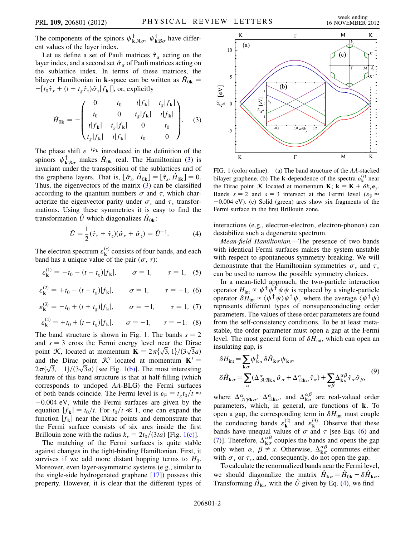The components of the spinors  $\psi_{\mathbf{k}\mathcal{A}\sigma}^{\dagger}$ ,  $\psi_{\mathbf{k}\mathcal{B}\sigma}^{\dagger}$  have different values of the layer index.

Let us define a set of Pauli matrices  $\hat{\tau}_\alpha$  acting on the vertindex and a second set  $\hat{\sigma}$  of Pauli matrices acting on layer index, and a second set  $\hat{\sigma}_{\alpha}$  of Pauli matrices acting on the sublattice index. In terms of these matrices, the bilayer Hamiltonian in **k**-space can be written as  $\hat{H}_{0k}$  =  $-[t_0 \hat{\tau}_x + (t + t_g \hat{\tau}_x) \hat{\sigma}_x | f_{\mathbf{k}} |]$ , or, explicitly

<span id="page-1-0"></span>
$$
\hat{H}_{0\mathbf{k}} = -\begin{pmatrix}\n0 & t_0 & t|f_{\mathbf{k}}| & t_g|f_{\mathbf{k}}| \\
t_0 & 0 & t_g|f_{\mathbf{k}}| & t|f_{\mathbf{k}}| \\
t|f_{\mathbf{k}}| & t_g|f_{\mathbf{k}}| & 0 & t_0 \\
t_g|f_{\mathbf{k}}| & t|f_{\mathbf{k}}| & t_0 & 0\n\end{pmatrix}.
$$
\n(3)

The phase shift  $e^{-i\varphi_k}$  introduced in the definition of the spinors  $\psi_{kB\sigma}^{\dagger}$  makes  $\hat{H}_{0k}$  real. The Hamiltonian [\(3\)](#page-1-0) is<br>invariant under the transposition of the sublettiess and of invariant under the transposition of the sublattices and of the graphene layers. That is,  $[\hat{\sigma}_x, \hat{H}_{0k}] = [\hat{\tau}_x, \hat{H}_{0k}] = 0$ .<br>Thus the eigenvectors of the matrix (3) can be classified Thus, the eigenvectors of the matrix  $(3)$  can be classified according to the quantum numbers  $\sigma$  and  $\tau$ , which characterize the eigenvector parity under  $\sigma_x$  and  $\tau_x$  transformations. Using these symmetries it is easy to find the transformation  $\hat{U}$  which diagonalizes  $\hat{H}_{0k}$ :

$$
\hat{U} = \frac{1}{2}(\hat{\tau}_x + \hat{\tau}_z)(\hat{\sigma}_x + \hat{\sigma}_z) = \hat{U}^{-1}.
$$
 (4)

<span id="page-1-5"></span><span id="page-1-3"></span>The electron spectrum  $\varepsilon_{\mathbf{k}}^{(s)}$  consists of four bands, and each band has a unique value of the pair  $(\sigma, \tau)$ :

<span id="page-1-4"></span>
$$
\varepsilon_{\mathbf{k}}^{(1)} = -t_0 - (t + t_g)|f_{\mathbf{k}}|, \qquad \sigma = 1, \qquad \tau = 1, \quad (5)
$$

$$
\varepsilon_{\mathbf{k}}^{(2)} = +t_0 - (t - t_g)|f_{\mathbf{k}}|, \qquad \sigma = 1, \qquad \tau = -1, \tag{6}
$$

$$
\varepsilon_{\mathbf{k}}^{(3)} = -t_0 + (t + t_g)|f_{\mathbf{k}}|, \qquad \sigma = -1, \qquad \tau = 1, (7)
$$

$$
\varepsilon_{\mathbf{k}}^{(4)} = +t_0 + (t - t_g)|f_{\mathbf{k}}|, \qquad \sigma = -1, \qquad \tau = -1.
$$
 (8)

The band structure is shown in Fig. [1](#page-1-1). The bands  $s = 2$ and  $s = 3$  cross the Fermi energy level near the Dirac point *K*, located at momentum  $\mathbf{K} = 2\pi \{\sqrt{3}, 1\}/(3\sqrt{3}a)$ <br>and the Dirac point *K*<sup> $\prime$ </sup> located at momentum  $\mathbf{K}' =$ and the Dirac point  $\mathcal{K}'$  located at momentum  $\mathbf{K}' =$ <br> $2\pi i \sqrt{3} - 11/(3\sqrt{3}a)$  [see Fig. 1(b)]. The most interesting  $2\pi\sqrt{3}$ ,  $-1$ / $(3\sqrt{3}a)$  [see Fig. [1\(b\)\]](#page-1-2). The most interesting feature of this band structure is that at half-filling (which feature of this band structure is that at half-filling (which corresponds to undoped AA-BLG) the Fermi surfaces of both bands coincide. The Fermi level is  $\varepsilon_F = t_g t_0/t \approx -0.004$  eV while the Fermi surfaces are given by the  $-0.004$  eV, while the Fermi surfaces are given by the equation  $|f_{k}| = t_0/t$ . For  $t_0/t \ll 1$ , one can expand the function  $|f_k|$  near the Dirac points and demonstrate that the Fermi surface consists of six arcs inside the first Brillouin zone with the radius  $k_r = 2t_0/(3ta)$  [Fig. [1\(c\)](#page-1-2)].

The matching of the Fermi surfaces is quite stable against changes in the tight-binding Hamiltonian. First, it survives if we add more distant hopping terms to  $H_0$ . Moreover, even layer-asymmetric systems (e.g., similar to the single-side hydrogenated graphene [\[17\]](#page-4-14)) possess this property. However, it is clear that the different types of

<span id="page-1-1"></span>

<span id="page-1-2"></span>FIG. 1 (color online). (a) The band structure of the AA-stacked bilayer graphene. (b) The **k**-dependence of the spectra  $\varepsilon_k^{(s)}$  near the Dirac point *K* located at momentum **K**;  $\mathbf{k} = \mathbf{K} + \delta k_y \mathbf{e}_y$ . Bands  $s = 2$  and  $s = 3$  intersect at the Fermi level  $(\varepsilon_F \approx -0.004 \text{ eV})$  (c) Solid (green) arcs show six fragments of the  $-0.004$  eV). (c) Solid (green) arcs show six fragments of the Fermi surface in the first Brillouin zone.

interactions (e.g., electron-electron, electron-phonon) can destabilize such a degenerate spectrum.

Mean-field Hamiltonian.—The presence of two bands with identical Fermi surfaces makes the system unstable with respect to spontaneous symmetry breaking. We will demonstrate that the Hamiltonian symmetries  $\sigma_x$  and  $\tau_x$ can be used to narrow the possible symmetry choices.

In a mean-field approach, the two-particle interaction operator  $H_{int} \propto \psi^{\dagger} \psi^{\dagger} \psi \psi$  is replaced by a single-particle operator  $\delta H_{\text{int}} \propto \langle \psi^{\dagger} \psi \rangle \psi^{\dagger} \psi$ , where the average  $\langle \psi^{\dagger} \psi \rangle$ represents different types of nonsuperconducting order parameters. The values of these order parameters are found from the self-consistency conditions. To be at least metastable, the order parameter must open a gap at the Fermi level. The most general form of  $\delta H_{\text{int}}$ , which can open an insulating gap, is

<span id="page-1-6"></span>
$$
\delta H_{int} = \sum_{\mathbf{k}\sigma} \psi_{\mathbf{k}\sigma}^{\dagger} \delta \hat{H}_{\mathbf{k}\sigma} \psi_{\mathbf{k}\sigma},
$$
  

$$
\delta \hat{H}_{\mathbf{k}\sigma} = \sum_{\alpha} (\Delta^{\alpha}_{\mathcal{A}\mathcal{B}\mathbf{k}\sigma} \hat{\sigma}_{\alpha} + \Delta^{\alpha}_{12\mathbf{k}\sigma} \hat{\tau}_{\alpha}) + \sum_{\alpha\beta} \Delta^{\alpha\beta}_{\mathbf{k}\sigma} \hat{\tau}_{\alpha} \hat{\sigma}_{\beta},
$$
<sup>(9)</sup>

where  $\Delta_{\mathcal{ABk\sigma}}^{\alpha}$ ,  $\Delta_{12k\sigma}^{\alpha}$ , and  $\Delta_{k\sigma}^{\alpha\beta}$  are real-valued order<br>parameters, which in general are functions of k. To parameters, which, in general, are functions of k. To open a gap, the corresponding term in  $\delta H_{\text{int}}$  must couple the conducting bands  $\varepsilon_{\mathbf{k}}^{(2)}$  and  $\varepsilon_{\mathbf{k}}^{(3)}$ . Observe that these bands have unequal values of  $\sigma$  and  $\tau$  [see Eqs. [\(6\)](#page-1-3) and [\(7\)](#page-1-4)]. Therefore,  $\Delta_{\mathbf{k}\sigma}^{\alpha\beta}$  couples the bands and opens the gap only when  $\alpha$ ,  $\beta \neq x$ . Otherwise,  $\Delta^{\alpha\beta}$  commutes either only when  $\alpha$ ,  $\beta \neq x$ . Otherwise,  $\Delta_{\mathbf{k}\sigma}^{\alpha\beta}$  commutes either with  $\sigma$  or  $\tau$  and consequently do not open the gan with  $\sigma_x$  or  $\tau_x$ , and, consequently, do not open the gap.

To calculate the renormalized bands near the Fermi level, we should diagonalize the matrix  $\hat{H}_{\mathbf{k}\sigma} = \hat{H}_{0\mathbf{k}} + \delta \hat{H}_{\mathbf{k}\sigma}$ . Transforming  $\hat{H}_{\mathbf{k}\sigma}$  with the  $\hat{U}$  given by Eq. ([4](#page-1-5)), we find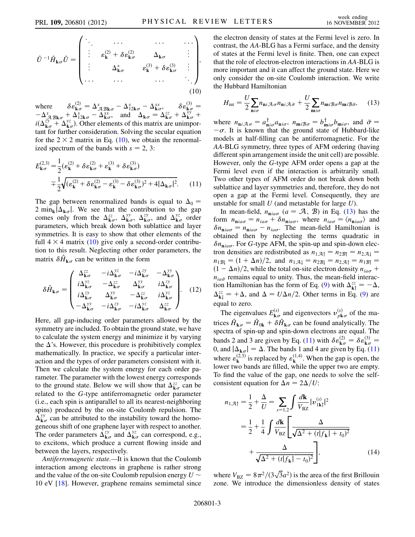<span id="page-2-0"></span>
$$
\hat{U}^{-1}\hat{H}_{\mathbf{k}\sigma}\hat{U} = \begin{pmatrix}\n\ddots & \cdots & \cdots & \cdots \\
\vdots & \varepsilon_{\mathbf{k}}^{(2)} + \delta \varepsilon_{\mathbf{k}\sigma}^{(2)} & \Delta_{\mathbf{k}\sigma} & \vdots \\
\vdots & \Delta_{\mathbf{k}\sigma}^{*} & \varepsilon_{\mathbf{k}}^{(3)} + \delta \varepsilon_{\mathbf{k}\sigma}^{(3)} & \vdots \\
\vdots & \ddots & \cdots & \ddots & \ddots\n\end{pmatrix},
$$
\n(10)

where  $\delta \varepsilon_{\mathbf{k}\sigma}^{(2)} = \Delta_{\mathcal{A}\mathcal{B}\mathbf{k}\sigma}^{x} - \Delta_{12\mathbf{k}\sigma}^{x} - \Delta_{\mathbf{k}\sigma}^{xx}, \quad \delta \varepsilon_{\mathbf{k}\sigma}^{(3)} =$ <br>  $-\Delta_{x}^{x} + \Delta_{x}^{x} - \Delta_{x}^{xx}$  and  $\Delta_{x} = \Delta_{x}^{zz} + \Delta_{y}^{yy} + \Delta_{y}^{zz}$  $\frac{1}{i}$  $-\Delta_{\mathcal{A} \mathcal{B} \mathbf{k} \sigma}^x + \Delta_{12\mathbf{k} \sigma}^x - \Delta_{\mathbf{k} \sigma}^{xx}$ , and  $\Delta_{\mathbf{k} \sigma} = \Delta_{\mathbf{k} \sigma}^{zz} + \Delta_{\mathbf{k} \sigma}^{yy} + i(\Delta_{\mathbf{k} \sigma}^{zy} + \Delta_{\mathbf{k} \sigma}^{yz})$ . Other elements of this matrix are unimportant for further consideration. Solving tant for further consideration. Solving the secular equation for the  $2 \times 2$  matrix in Eq. [\(10\)](#page-2-0), we obtain the renormalized spectrum of the bands with  $s = 2, 3$ :

<span id="page-2-2"></span>
$$
E_{\mathbf{k}\sigma}^{(2,3)} = \frac{1}{2} (\varepsilon_{\mathbf{k}}^{(2)} + \delta \varepsilon_{\mathbf{k}\sigma}^{(2)} + \varepsilon_{\mathbf{k}}^{(3)} + \delta \varepsilon_{\mathbf{k}\sigma}^{(3)})
$$
  

$$
= \frac{1}{2} \sqrt{(\varepsilon_{\mathbf{k}}^{(2)} + \delta \varepsilon_{\mathbf{k}\sigma}^{(2)} - \varepsilon_{\mathbf{k}}^{(3)} - \delta \varepsilon_{\mathbf{k}\sigma}^{(3)})^2 + 4|\Delta_{\mathbf{k}\sigma}|^2}.
$$
 (11)

The gap between renormalized bands is equal to  $\Delta_0$  =  $\mathbf{k}_{\sigma}$ . We see that the contribution to the gap<br>ly from the  $\Lambda^{zz}$   $\Lambda^{yy}$   $\Lambda^{zy}$  and  $\Lambda^{yz}$  order  $\sum_{k=1}^{\infty} \frac{|\Delta_{k\sigma}|}{\Delta_{k\sigma}}$ . We see that the contribution to the gap<br>comes only from the  $\Delta_{k\sigma}^{zz}$ ,  $\Delta_{k\sigma}^{yy}$ ,  $\Delta_{k\sigma}^{zy}$ , and  $\Delta_{k\sigma}^{yz}$  order<br>parameters which break down both sublattice and layer parameters, which break down both sublattice and layer symmetries. It is easy to show that other elements of the full  $4 \times 4$  matrix ([10](#page-2-0)) give only a second-order contribution to this result. Neglecting other order parameters, the matrix  $\delta \hat{H}_{\mathbf{k} \sigma}$  can be written in the form

$$
\delta \hat{H}_{\mathbf{k}\sigma} = \begin{pmatrix}\n\Delta_{\mathbf{k}\sigma}^{zz} & -i\Delta_{\mathbf{k}\sigma}^{yz} & -i\Delta_{\mathbf{k}\sigma}^{zy} & -\Delta_{\mathbf{k}\sigma}^{yy} \\
i\Delta_{\mathbf{k}\sigma}^{yz} & -\Delta_{\mathbf{k}\sigma}^{zz} & \Delta_{\mathbf{k}\sigma}^{yy} & i\Delta_{\mathbf{k}\sigma}^{zy} \\
i\Delta_{\mathbf{k}\sigma}^{zy} & \Delta_{\mathbf{k}\sigma}^{yy} & -\Delta_{\mathbf{k}\sigma}^{zz} & i\Delta_{\mathbf{k}\sigma}^{yz} \\
-\Delta_{\mathbf{k}\sigma}^{yy} & -i\Delta_{\mathbf{k}\sigma}^{zy} & -i\Delta_{\mathbf{k}\sigma}^{yz} & \Delta_{\mathbf{k}\sigma}^{zz}\n\end{pmatrix}.
$$
\n(12)

Here, all gap-inducing order parameters allowed by the symmetry are included. To obtain the ground state, we have to calculate the system energy and minimize it by varying the  $\Delta$ 's. However, this procedure is prohibitively complex<br>mathematically. In practice, we specify a particular intermathematically. In practice, we specify a particular interaction and the types of order parameters consistent with it. Then we calculate the system energy for each order parameter. The parameter with the lowest energy corresponds to the ground state. Below we will show that  $\Delta_{\mathbf{k}\sigma}^{zz}$  can be related to the *G*-type antiferromagnetic order parameter related to the G-type antiferromagnetic order parameter (i.e., each spin is antiparallel to all its nearest-neighboring spins) produced by the on-site Coulomb repulsion. The geneous shift of one graphene layer with respect to another.  $\frac{yy}{k\sigma}$  can be attributed to the instability toward the homo-The order parameters  $\Delta_{\mathbf{k}\sigma}^{zy}$  and  $\Delta_{\mathbf{k}\sigma}^{yz}$  can correspond, e.g., to excitons, which produce a current flowing inside and to excitons, which produce a current flowing inside and between the layers, respectively.

Antiferromagnetic state.—It is known that the Coulomb interaction among electrons in graphene is rather strong and the value of the on-site Coulomb repulsion energy  $U \sim$ 10 eV [\[18\]](#page-4-15). However, graphene remains semimetal since the electron density of states at the Fermi level is zero. In contrast, the AA-BLG has a Fermi surface, and the density of states at the Fermi level is finite. Then, one can expect that the role of electron-electron interactions in AA-BLG is more important and it can affect the ground state. Here we only consider the on-site Coulomb interaction. We write the Hubbard Hamiltonian

<span id="page-2-1"></span>
$$
H_{\rm int} = \frac{U}{2} \sum_{\mathbf{n}i\sigma} n_{\mathbf{n}i\mathcal{A}\sigma} n_{\mathbf{n}i\mathcal{A}\bar{\sigma}} + \frac{U}{2} \sum_{\mathbf{m}i\sigma} n_{\mathbf{m}i\mathcal{B}\sigma} n_{\mathbf{m}i\mathcal{B}\bar{\sigma}},\qquad(13)
$$

where  $n_{\mathbf{n}i} \mathcal{A}_{\sigma} = a_{\mathbf{n}i\sigma}^{\dagger} a_{\mathbf{n}i\sigma}$ ,  $n_{\mathbf{m}i} \mathcal{B}_{\sigma} = b_{\mathbf{n}i\sigma}^{\dagger} b_{\mathbf{m}i\sigma}$ , and  $\bar{\sigma} = -\sigma$ . It is known that the ground state of Hubbard-like  $-\sigma$ . It is known that the ground state of Hubbard-like models at half-filling can be antiferromagnetic. For the models at half-filling can be antiferromagnetic. For the AA-BLG symmetry, three types of AFM ordering (having different spin arrangement inside the unit cell) are possible. However, only the G-type AFM order opens a gap at the Fermi level even if the interaction is arbitrarily small. Two other types of AFM order do not break down both sublattice and layer symmetries and, therefore, they do not open a gap at the Fermi level. Consequently, they are unstable for small  $U$  (and metastable for large  $U$ ).

In mean-field,  $n_{\mathbf{n}ia\sigma}$  ( $a = \mathcal{A}, \mathcal{B}$ ) in Eq. ([13](#page-2-1)) has the form  $n_{\mathbf{n}ia\sigma} = n_{ia\sigma} + \delta n_{\mathbf{n}ia\sigma}$ , where  $n_{ia\sigma} = \langle n_{\mathbf{n}ia\sigma} \rangle$  and  $\delta n_{\mathbf{n} i a \sigma} = n_{\mathbf{n} i a \sigma} - n_{i a \sigma}$ . The mean-field Hamiltonian is obtained then by neglecting the terms quadratic in  $\delta n_{\text{n}ia\sigma}$ . For G-type AFM, the spin-up and spin-down electron densities are redistributed as  $n_{1,A} = n_{2B} = n_{2,A}$  $n_{1}g_{\parallel} = (1 + \Delta n)/2$ , and  $n_{1}g_{\parallel} = n_{2}g_{\parallel} = n_{2}g_{\perp} = n_{1}g_{\parallel} = (1 - \Delta n)/2$  while the total on-site electron density  $n_{\perp}$  +  $n_{ia\bar{\sigma}}$  remains equal to unity. Thus, the mean-field interac-<br>tion Hamiltonian has the form of Eq. (0) with  $\Lambda^{zz} = -\Lambda$  $(1 - \Delta n)/2$ , while the total on-site electron density  $n_{ia\sigma}$  + tion Hamiltonian has the form of Eq. ([9](#page-1-6)) with  $\Delta_{kl}^{zz} = -\Delta$ ,<br> $\Delta_{ik}^{zz} = +\Delta$ , and  $\Delta = I/\Delta x/2$ . Other terms in Eq. (0) are  $\alpha$  =  $\alpha$  =  $\alpha$  =  $\alpha$  $\frac{z}{k} = +\Delta$ , and  $\Delta = U\Delta n/2$ . Other terms in Eq. ([9](#page-1-6)) are

The eigenvalues  $E_{\mathbf{k}\sigma}^{(s)}$  and eigenvectors  $v_{p\mathbf{k}\sigma}^{(s)}$  of the matrices  $\hat{H}_{\mathbf{k}\sigma} = \hat{H}_{0\mathbf{k}} + \delta \hat{H}_{\mathbf{k}\sigma}$  can be found analytically. The spectra of spin-up and spin-down electrons are equal. The bands 2 and 3 are given by Eq. ([11](#page-2-2)) with  $\delta \varepsilon_{\mathbf{k}\sigma}^{(2)} = \delta \varepsilon_{\mathbf{k}\sigma}^{(3)}$ <br>0 and  $|\Lambda_{\sigma}| = \Lambda$ . The bands 1 and 4 are given by Eq. ( bands 2 and 3 are given by Eq. [\(11\)](#page-2-2) with  $\delta \varepsilon_{k\sigma} = \delta \varepsilon_{k\sigma} = 0$ , and  $|\Delta_{k\sigma}| = \Delta$ . The bands 1 and 4 are given by Eq. (11) where  $\varepsilon_k^{(2,3)}$  is replaced by  $\varepsilon_k^{(1,4)}$ . When the gap is open, the lower two bands are filled, while the upper two are empty. To find the value of the gap, one needs to solve the selfconsistent equation for  $\Delta n = 2\Delta/U$ :

<span id="page-2-3"></span>
$$
n_{1\mathcal{A}\uparrow} = \frac{1}{2} + \frac{\Delta}{U} = \sum_{s=1,2} \int \frac{d\mathbf{k}}{V_{\text{BZ}}} |\nu_{1\mathbf{k}\uparrow}^{(s)}|^2
$$
  
=  $\frac{1}{2} + \frac{1}{4} \int \frac{d\mathbf{k}}{V_{\text{BZ}}} \left[ \frac{\Delta}{\sqrt{\Delta^2 + (t|f_{\mathbf{k}}| + t_0)^2}} + \frac{\Delta}{\sqrt{\Delta^2 + (t|f_{\mathbf{k}}| - t_0)^2}} \right],$  (14)

where  $V_{BZ} = 8\pi^2/(3\sqrt{3}a^2)$  is the area of the first Brillouin<br>zone. We introduce the dimensionless density of states zone. We introduce the dimensionless density of states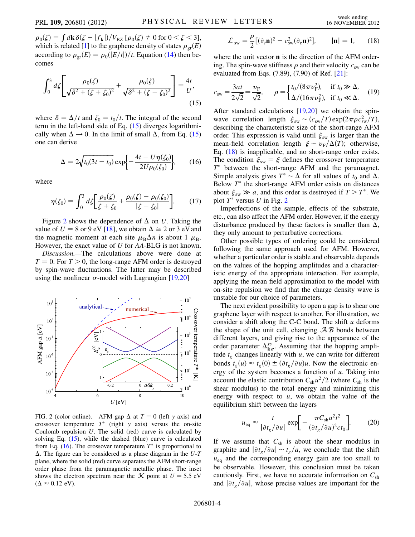$\rho_0(\zeta) = \int d\mathbf{k} \delta(\zeta - |f_{\mathbf{k}}|)/V_{\text{BZ}} [\rho_0(\zeta) \neq 0 \text{ for } 0 < \zeta < 3],$ which is related [[1\]](#page-4-0) to the graphene density of states  $\rho_{\rm gr}(E)$ according to  $\rho_{\rm gr}(E) = \rho_0(|E/t|)/t$ . Equation [\(14](#page-2-3)) then becomes

<span id="page-3-0"></span>
$$
\int_0^3 d\zeta \left[ \frac{\rho_0(\zeta)}{\sqrt{\delta^2 + (\zeta + \zeta_0)^2}} + \frac{\rho_0(\zeta)}{\sqrt{\delta^2 + (\zeta - \zeta_0)^2}} \right] = \frac{4t}{U},\tag{15}
$$

<span id="page-3-3"></span>where  $\delta = \Delta/t$  and  $\zeta_0 = t_0/t$ . The integral of the second term in the left-hand side of Eq. (15) diverges logarithmiterm in the left-hand side of Eq. ([15](#page-3-0)) diverges logarithmically when  $\Delta \rightarrow 0$ . In the limit of small  $\Delta$ , from Eq. [\(15\)](#page-3-0) one can derive one can derive

$$
\Delta = 2\sqrt{t_0(3t - t_0)} \exp\left\{-\frac{4t - U\eta(\zeta_0)}{2U\rho_0(\zeta_0)}\right\},\qquad(16)
$$

where

$$
\eta(\zeta_0) = \int_0^3 d\zeta \bigg[ \frac{\rho_0(\zeta)}{\zeta + \zeta_0} + \frac{\rho_0(\zeta) - \rho_0(\zeta_0)}{|\zeta - \zeta_0|} \bigg]. \tag{17}
$$

Figure [2](#page-3-1) shows the dependence of  $\Delta$  on U. Taking the lue of  $U = 8$  or  $9 \text{ eV}$  [18] we obtain  $\Delta \approx 2$  or  $3 \text{ eV}$  and value of  $U = 8$  or 9 eV [\[18\]](#page-4-15), we obtain  $\Delta \cong 2$  or 3 eV and the magnetic moment at each site  $\mu_{\text{D}} \Delta n$  is about 1  $\mu_{\text{D}}$ the magnetic moment at each site  $\mu_B \Delta n$  is about 1  $\mu_B$ .<br>However the exact value of *H* for *AA*-BLG is not known However, the exact value of U for AA-BLG is not known.

Discussion.—The calculations above were done at  $T = 0$ . For  $T > 0$ , the long-range AFM order is destroyed by spin-wave fluctuations. The latter may be described using the nonlinear  $\sigma$ -model with Lagrangian [\[19](#page-4-16)[,20\]](#page-4-17)

<span id="page-3-1"></span>

FIG. 2 (color online). AFM gap  $\Delta$  at  $T = 0$  (left y axis) and crossover temperature  $T^*$  (right y axis) versus the on-site crossover temperature  $T^*$  (right y axis) versus the on-site Coulomb repulsion  $U$ . The solid (red) curve is calculated by solving Eq. [\(15\)](#page-3-0), while the dashed (blue) curve is calculated from Eq. ([16](#page-3-3)). The crossover temperature  $T^*$  is proportional to plane, where the solid (red) curve separates the AFM short-range  $\Delta$ . The figure can be considered as a phase diagram in the U-T order phase from the paramagnetic metallic phase. The inset shows the electron spectrum near the  $\mathcal K$  point at  $U = 5.5$  eV  $(\Delta \approx 0.12 \text{ eV}).$ 

<span id="page-3-2"></span>
$$
\mathcal{L}_{sw} = \frac{\rho}{2} [(\partial_t \mathbf{n})^2 + c_{sw}^2 (\partial_t \mathbf{n})^2], \qquad |\mathbf{n}| = 1,
$$
 (18)

where the unit vector **n** is the direction of the AFM ordering. The spin-wave stiffness  $\rho$  and their velocity  $c_{sw}$  can be evaluated from Eqs. (7.89), (7.90) of Ref. [[21](#page-4-18)]:

$$
c_{sw} = \frac{3at}{2\sqrt{2}} = \frac{v_{F}}{\sqrt{2}}, \qquad \rho = \begin{cases} t_{0}/(8\pi v_{F}^{2}), & \text{if } t_{0} \gg \Delta, \\ \Delta/(16\pi v_{F}^{2}), & \text{if } t_{0} \ll \Delta. \end{cases}
$$
 (19)

After standard calculations [\[19,](#page-4-16)[20\]](#page-4-17) we obtain the spinwave correlation length  $\xi_{sw} \sim (c_{sw}/T) \exp(2\pi \rho c_{sw}^2/T)$ ,<br>describing the characteristic size of the short-range AFM describing the characteristic size of the short-range AFM order. This expression is valid until  $\xi_{sw}$  is larger than the mean-field correlation length  $\xi \sim v_F/\Delta(T)$ ; otherwise,<br>Eq. (18) is inapplicable, and no short-range order exists Eq. ([18](#page-3-2)) is inapplicable, and no short-range order exists. The condition  $\xi_{sw} = \xi$  defines the crossover temperature  $T^*$  between the short-range AFM and the paramagnet. Simple analysis gives  $T^* \sim \Delta$  for all values of  $t_0$  and  $\Delta$ .<br>Below  $T^*$  the short-range AFM order exists on distances Below  $T^*$  the short-range AFM order exists on distances about  $\xi_{sw} \gg a$ , and this order is destroyed if  $T > T^*$ . We plot  $T^*$  versus U in Fig. [2](#page-3-1)

Imperfections of the sample, effects of the substrate, etc., can also affect the AFM order. However, if the energy disturbance produced by these factors is smaller than  $\Delta$ , they only amount to perturbative corrections they only amount to perturbative corrections.

Other possible types of ordering could be considered following the same approach used for AFM. However, whether a particular order is stable and observable depends on the values of the hopping amplitudes and a characteristic energy of the appropriate interaction. For example, applying the mean field approximation to the model with on-site repulsion we find that the charge density wave is unstable for our choice of parameters.

The next evident possibility to open a gap is to shear one graphene layer with respect to another. For illustration, we consider a shift along the C-C bond. The shift  $u$  deforms the shape of the unit cell, changing  $AB$  bonds between different layers, and giving rise to the appearance of the order parameter  $\Delta_{\mathbf{k}\sigma}^{yy}$ . Assuming that the hopping amplitude to changes linearly with u, we can write for different tude  $t_g$  changes linearly with u, we can write for different bonds  $t_g(u) \approx t_g(0) \pm (\partial t_g/\partial u)u$ . Now the electronic en-<br>ergy of the system becomes a function of u. Taking into ergy of the system becomes a function of  $u$ . Taking into account the elastic contribution  $C_{\rm sh}u^2/2$  (where  $C_{\rm sh}$  is the shear modulus) to the total energy and minimizing this energy with respect to  $u$ , we obtain the value of the equilibrium shift between the layers

$$
u_{\text{eq}} \approx \frac{t}{|\partial t_g / \partial u|} \exp\biggl[ -\frac{\pi C_{\text{sh}} a^2 t^2}{(\partial t_g / \partial u)^2 c t_0} \biggr]. \tag{20}
$$

If we assume that  $C_{sh}$  is about the shear modulus in graphite and  $|\partial t_g/\partial u| \sim t_g/a$ , we conclude that the shift  $u_{eq}$  and the corresponding energy gain are too small to be observable. However, this conclusion must be taken cautiously. First, we have no accurate information on  $C_{\rm sh}$ and  $\partial t_g/\partial u$ , whose precise values are important for the